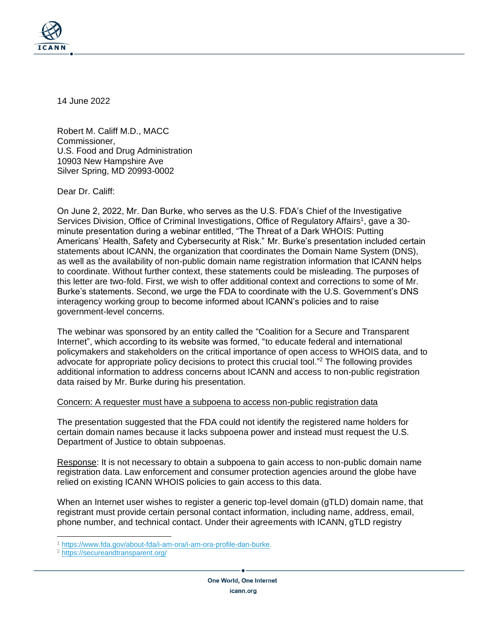

14 June 2022

Robert M. Califf M.D., MACC Commissioner, U.S. Food and Drug Administration 10903 New Hampshire Ave Silver Spring, MD 20993-0002

Dear Dr. Califf:

On June 2, 2022, Mr. Dan Burke, who serves as the U.S. FDA's Chief of the Investigative Services Division, Office of Criminal Investigations, Office of Regulatory Affairs<sup>1</sup>, gave a 30minute presentation during a webinar entitled, "The Threat of a Dark WHOIS: Putting Americans' Health, Safety and Cybersecurity at Risk." Mr. Burke's presentation included certain statements about ICANN, the organization that coordinates the Domain Name System (DNS), as well as the availability of non-public domain name registration information that ICANN helps to coordinate. Without further context, these statements could be misleading. The purposes of this letter are two-fold. First, we wish to offer additional context and corrections to some of Mr. Burke's statements. Second, we urge the FDA to coordinate with the U.S. Government's DNS interagency working group to become informed about ICANN's policies and to raise government-level concerns.

The webinar was sponsored by an entity called the "Coalition for a Secure and Transparent Internet", which according to its website was formed, "to educate federal and international policymakers and stakeholders on the critical importance of open access to WHOIS data, and to advocate for appropriate policy decisions to protect this crucial tool." <sup>2</sup> The following provides additional information to address concerns about ICANN and access to non-public registration data raised by Mr. Burke during his presentation.

## Concern: A requester must have a subpoena to access non-public registration data

The presentation suggested that the FDA could not identify the registered name holders for certain domain names because it lacks subpoena power and instead must request the U.S. Department of Justice to obtain subpoenas.

Response: It is not necessary to obtain a subpoena to gain access to non-public domain name registration data. Law enforcement and consumer protection agencies around the globe have relied on existing ICANN WHOIS policies to gain access to this data.

When an Internet user wishes to register a generic top-level domain (gTLD) domain name, that registrant must provide certain personal contact information, including name, address, email, phone number, and technical contact. Under their agreements with ICANN, gTLD registry

<sup>1</sup> [https://www.fda.gov/about-fda/i-am-ora/i-am-ora-profile-dan-burke.](https://www.fda.gov/about-fda/i-am-ora/i-am-ora-profile-dan-burke)

<sup>2</sup> <https://secureandtransparent.org/>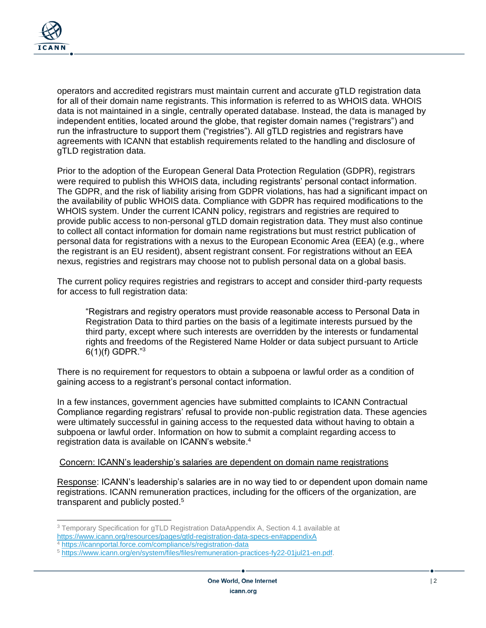

operators and accredited registrars must maintain current and accurate gTLD registration data for all of their domain name registrants. This information is referred to as WHOIS data. WHOIS data is not maintained in a single, centrally operated database. Instead, the data is managed by independent entities, located around the globe, that register domain names ("registrars") and run the infrastructure to support them ("registries"). All gTLD registries and registrars have agreements with ICANN that establish requirements related to the handling and disclosure of gTLD registration data.

Prior to the adoption of the European General Data Protection Regulation (GDPR), registrars were required to publish this WHOIS data, including registrants' personal contact information. The GDPR, and the risk of liability arising from GDPR violations, has had a significant impact on the availability of public WHOIS data. Compliance with GDPR has required modifications to the WHOIS system. Under the current ICANN policy, registrars and registries are required to provide public access to non-personal gTLD domain registration data. They must also continue to collect all contact information for domain name registrations but must restrict publication of personal data for registrations with a nexus to the European Economic Area (EEA) (e.g., where the registrant is an EU resident), absent registrant consent. For registrations without an EEA nexus, registries and registrars may choose not to publish personal data on a global basis.

The current policy requires registries and registrars to accept and consider third-party requests for access to full registration data:

"Registrars and registry operators must provide reasonable access to Personal Data in Registration Data to third parties on the basis of a legitimate interests pursued by the third party, except where such interests are overridden by the interests or fundamental rights and freedoms of the Registered Name Holder or data subject pursuant to Article  $6(1)(f)$  GDPR."<sup>3</sup>

There is no requirement for requestors to obtain a subpoena or lawful order as a condition of gaining access to a registrant's personal contact information.

In a few instances, government agencies have submitted complaints to ICANN Contractual Compliance regarding registrars' refusal to provide non-public registration data. These agencies were ultimately successful in gaining access to the requested data without having to obtain a subpoena or lawful order. Information on how to submit a complaint regarding access to registration data is available on ICANN's website. 4

## Concern: ICANN's leadership's salaries are dependent on domain name registrations

Response: ICANN's leadership's salaries are in no way tied to or dependent upon domain name registrations. ICANN remuneration practices, including for the officers of the organization, are transparent and publicly posted.<sup>5</sup>

<sup>&</sup>lt;sup>3</sup> Temporary Specification for gTLD Registration DataAppendix A, Section 4.1 available at <https://www.icann.org/resources/pages/gtld-registration-data-specs-en#appendixA>

<sup>4</sup> <https://icannportal.force.com/compliance/s/registration-data>

<sup>5</sup> [https://www.icann.org/en/system/files/files/remuneration-practices-fy22-01jul21-en.pdf.](https://www.icann.org/en/system/files/files/remuneration-practices-fy22-01jul21-en.pdf)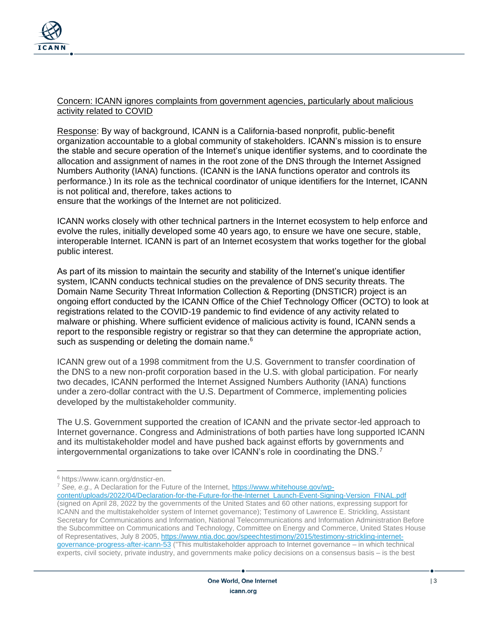

## Concern: ICANN ignores complaints from government agencies, particularly about malicious activity related to COVID

Response: By way of background, ICANN is a California-based nonprofit, public-benefit organization accountable to a global community of stakeholders. ICANN's mission is to ensure the stable and secure operation of the Internet's unique identifier systems, and to coordinate the allocation and assignment of names in the root zone of the DNS through the Internet Assigned Numbers Authority (IANA) functions. (ICANN is the IANA functions operator and controls its performance.) In its role as the technical coordinator of unique identifiers for the Internet, ICANN is not political and, therefore, takes actions to

ensure that the workings of the Internet are not politicized.

ICANN works closely with other technical partners in the Internet ecosystem to help enforce and evolve the rules, initially developed some 40 years ago, to ensure we have one secure, stable, interoperable Internet. ICANN is part of an Internet ecosystem that works together for the global public interest.

As part of its mission to maintain the security and stability of the Internet's unique identifier system, ICANN conducts technical studies on the prevalence of DNS security threats. The Domain Name Security Threat Information Collection & Reporting (DNSTICR) project is an ongoing effort conducted by the ICANN Office of the Chief Technology Officer (OCTO) to look at registrations related to the COVID-19 pandemic to find evidence of any activity related to malware or phishing. Where sufficient evidence of malicious activity is found, ICANN sends a report to the responsible registry or registrar so that they can determine the appropriate action, such as suspending or deleting the domain name.<sup>6</sup>

ICANN grew out of a 1998 commitment from the U.S. Government to transfer coordination of the DNS to a new non-profit corporation based in the U.S. with global participation. For nearly two decades, ICANN performed the Internet Assigned Numbers Authority (IANA) functions under a zero-dollar contract with the U.S. Department of Commerce, implementing policies developed by the multistakeholder community.

The U.S. Government supported the creation of ICANN and the private sector-led approach to Internet governance. Congress and Administrations of both parties have long supported ICANN and its multistakeholder model and have pushed back against efforts by governments and intergovernmental organizations to take over ICANN's role in coordinating the DNS.<sup>7</sup>

<sup>7</sup> *See, e.g.,* A Declaration for the Future of the Internet, [https://www.whitehouse.gov/wp-](https://www.whitehouse.gov/wp-content/uploads/2022/04/Declaration-for-the-Future-for-the-Internet_Launch-Event-Signing-Version_FINAL.pdf)

<sup>6</sup> https://www.icann.org/dnsticr-en.

[content/uploads/2022/04/Declaration-for-the-Future-for-the-Internet\\_Launch-Event-Signing-Version\\_FINAL.pdf](https://www.whitehouse.gov/wp-content/uploads/2022/04/Declaration-for-the-Future-for-the-Internet_Launch-Event-Signing-Version_FINAL.pdf)  (signed on April 28, 2022 by the governments of the United States and 60 other nations, expressing support for ICANN and the multistakeholder system of Internet governance); Testimony of Lawrence E. Strickling, Assistant Secretary for Communications and Information, National Telecommunications and Information Administration Before the Subcommittee on Communications and Technology, Committee on Energy and Commerce, United States House of Representatives, July 8 2005, [https://www.ntia.doc.gov/speechtestimony/2015/testimony-strickling-internet](https://www.ntia.doc.gov/speechtestimony/2015/testimony-strickling-internet-governance-progress-after-icann-53)[governance-progress-after-icann-53](https://www.ntia.doc.gov/speechtestimony/2015/testimony-strickling-internet-governance-progress-after-icann-53) ("This multistakeholder approach to Internet governance – in which technical experts, civil society, private industry, and governments make policy decisions on a consensus basis – is the best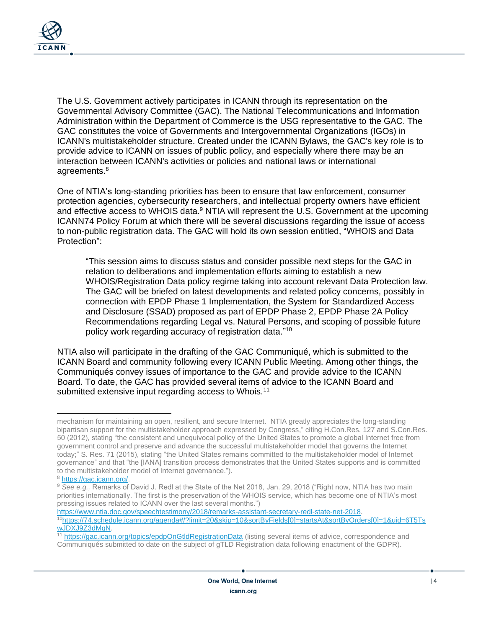

The U.S. Government actively participates in ICANN through its representation on the Governmental Advisory Committee (GAC). The National Telecommunications and Information Administration within the Department of Commerce is the USG representative to the GAC. The GAC constitutes the voice of Governments and Intergovernmental Organizations (IGOs) in ICANN's multistakeholder structure. Created under the ICANN Bylaws, the GAC's key role is to provide advice to ICANN on issues of public policy, and especially where there may be an interaction between ICANN's activities or policies and national laws or international agreements.<sup>8</sup>

One of NTIA's long-standing priorities has been to ensure that law enforcement, consumer protection agencies, cybersecurity researchers, and intellectual property owners have efficient and effective access to WHOIS data. $9$  NTIA will represent the U.S. Government at the upcoming ICANN74 Policy Forum at which there will be several discussions regarding the issue of access to non-public registration data. The GAC will hold its own session entitled, "WHOIS and Data Protection":

"This session aims to discuss status and consider possible next steps for the GAC in relation to deliberations and implementation efforts aiming to establish a new WHOIS/Registration Data policy regime taking into account relevant Data Protection law. The GAC will be briefed on latest developments and related policy concerns, possibly in connection with EPDP Phase 1 Implementation, the System for Standardized Access and Disclosure (SSAD) proposed as part of EPDP Phase 2, EPDP Phase 2A Policy Recommendations regarding Legal vs. Natural Persons, and scoping of possible future policy work regarding accuracy of registration data." 10

NTIA also will participate in the drafting of the GAC Communiqué, which is submitted to the ICANN Board and community following every ICANN Public Meeting. Among other things, the Communiqués convey issues of importance to the GAC and provide advice to the ICANN Board. To date, the GAC has provided several items of advice to the ICANN Board and submitted extensive input regarding access to Whois.<sup>11</sup>

[https://www.ntia.doc.gov/speechtestimony/2018/remarks-assistant-secretary-redl-state-net-2018.](https://www.ntia.doc.gov/speechtestimony/2018/remarks-assistant-secretary-redl-state-net-2018) <sup>10</sup>[https://74.schedule.icann.org/agenda#/?limit=20&skip=10&sortByFields\[0\]=startsAt&sortByOrders\[0\]=1&uid=6T5Ts](https://74.schedule.icann.org/agenda#/?limit=20&skip=10&sortByFields[0]=startsAt&sortByOrders[0]=1&uid=6T5TswJDXJ9Z3dMqN) wJDXJ9Z3dMaN.

mechanism for maintaining an open, resilient, and secure Internet. NTIA greatly appreciates the long-standing bipartisan support for the multistakeholder approach expressed by Congress," citing H.Con.Res. 127 and S.Con.Res. 50 (2012), stating "the consistent and unequivocal policy of the United States to promote a global Internet free from government control and preserve and advance the successful multistakeholder model that governs the Internet today;" S. Res. 71 (2015), stating "the United States remains committed to the multistakeholder model of Internet governance" and that "the [IANA] transition process demonstrates that the United States supports and is committed to the multistakeholder model of Internet governance.").

<sup>8</sup> [https://gac.icann.org/.](https://gac.icann.org/) 

<sup>9</sup> *See e.g.,* Remarks of David J. Redl at the State of the Net 2018, Jan. 29, 2018 ("Right now, NTIA has two main priorities internationally. The first is the preservation of the WHOIS service, which has become one of NTIA's most pressing issues related to ICANN over the last several months.")

<sup>11</sup> <https://gac.icann.org/topics/epdpOnGtldRegistrationData> (listing several items of advice, correspondence and Communiqués submitted to date on the subject of gTLD Registration data following enactment of the GDPR).